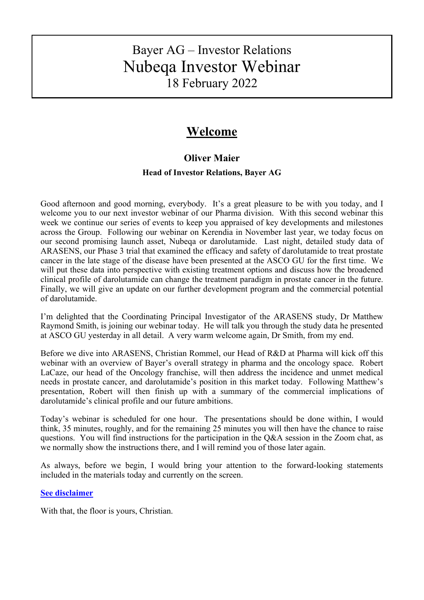# Bayer AG – Investor Relations Nubeqa Investor Webinar 18 February 2022

# **Welcome**

## **Oliver Maier**

## **Head of Investor Relations, Bayer AG**

Good afternoon and good morning, everybody. It's a great pleasure to be with you today, and I welcome you to our next investor webinar of our Pharma division. With this second webinar this week we continue our series of events to keep you appraised of key developments and milestones across the Group. Following our webinar on Kerendia in November last year, we today focus on our second promising launch asset, Nubeqa or darolutamide. Last night, detailed study data of ARASENS, our Phase 3 trial that examined the efficacy and safety of darolutamide to treat prostate cancer in the late stage of the disease have been presented at the ASCO GU for the first time. We will put these data into perspective with existing treatment options and discuss how the broadened clinical profile of darolutamide can change the treatment paradigm in prostate cancer in the future. Finally, we will give an update on our further development program and the commercial potential of darolutamide.

I'm delighted that the Coordinating Principal Investigator of the ARASENS study, Dr Matthew Raymond Smith, is joining our webinar today. He will talk you through the study data he presented at ASCO GU yesterday in all detail. A very warm welcome again, Dr Smith, from my end.

Before we dive into ARASENS, Christian Rommel, our Head of R&D at Pharma will kick off this webinar with an overview of Bayer's overall strategy in pharma and the oncology space. Robert LaCaze, our head of the Oncology franchise, will then address the incidence and unmet medical needs in prostate cancer, and darolutamide's position in this market today. Following Matthew's presentation, Robert will then finish up with a summary of the commercial implications of darolutamide's clinical profile and our future ambitions.

Today's webinar is scheduled for one hour. The presentations should be done within, I would think, 35 minutes, roughly, and for the remaining 25 minutes you will then have the chance to raise questions. You will find instructions for the participation in the Q&A session in the Zoom chat, as we normally show the instructions there, and I will remind you of those later again.

As always, before we begin, I would bring your attention to the forward-looking statements included in the materials today and currently on the screen.

## **[See disclaimer](#page-18-0)**

With that, the floor is yours, Christian.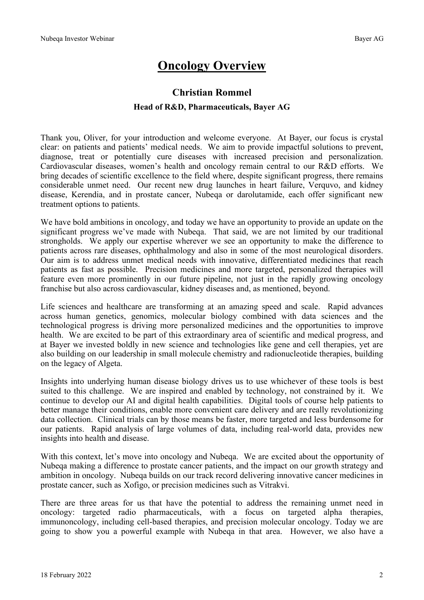# **Oncology Overview**

## **Christian Rommel Head of R&D, Pharmaceuticals, Bayer AG**

Thank you, Oliver, for your introduction and welcome everyone. At Bayer, our focus is crystal clear: on patients and patients' medical needs. We aim to provide impactful solutions to prevent, diagnose, treat or potentially cure diseases with increased precision and personalization. Cardiovascular diseases, women's health and oncology remain central to our R&D efforts. We bring decades of scientific excellence to the field where, despite significant progress, there remains considerable unmet need. Our recent new drug launches in heart failure, Verquvo, and kidney disease, Kerendia, and in prostate cancer, Nubeqa or darolutamide, each offer significant new treatment options to patients.

We have bold ambitions in oncology, and today we have an opportunity to provide an update on the significant progress we've made with Nubeqa. That said, we are not limited by our traditional strongholds. We apply our expertise wherever we see an opportunity to make the difference to patients across rare diseases, ophthalmology and also in some of the most neurological disorders. Our aim is to address unmet medical needs with innovative, differentiated medicines that reach patients as fast as possible. Precision medicines and more targeted, personalized therapies will feature even more prominently in our future pipeline, not just in the rapidly growing oncology franchise but also across cardiovascular, kidney diseases and, as mentioned, beyond.

Life sciences and healthcare are transforming at an amazing speed and scale. Rapid advances across human genetics, genomics, molecular biology combined with data sciences and the technological progress is driving more personalized medicines and the opportunities to improve health. We are excited to be part of this extraordinary area of scientific and medical progress, and at Bayer we invested boldly in new science and technologies like gene and cell therapies, yet are also building on our leadership in small molecule chemistry and radionucleotide therapies, building on the legacy of Algeta.

Insights into underlying human disease biology drives us to use whichever of these tools is best suited to this challenge. We are inspired and enabled by technology, not constrained by it. We continue to develop our AI and digital health capabilities. Digital tools of course help patients to better manage their conditions, enable more convenient care delivery and are really revolutionizing data collection. Clinical trials can by those means be faster, more targeted and less burdensome for our patients. Rapid analysis of large volumes of data, including real-world data, provides new insights into health and disease.

With this context, let's move into oncology and Nubeqa. We are excited about the opportunity of Nubeqa making a difference to prostate cancer patients, and the impact on our growth strategy and ambition in oncology. Nubeqa builds on our track record delivering innovative cancer medicines in prostate cancer, such as Xofigo, or precision medicines such as Vitrakvi.

There are three areas for us that have the potential to address the remaining unmet need in oncology: targeted radio pharmaceuticals, with a focus on targeted alpha therapies, immunoncology, including cell-based therapies, and precision molecular oncology. Today we are going to show you a powerful example with Nubeqa in that area. However, we also have a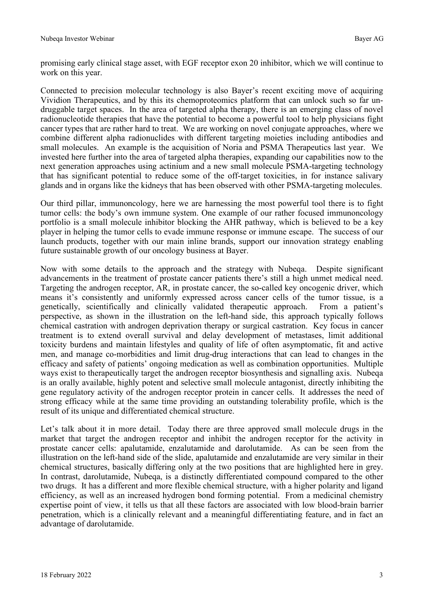promising early clinical stage asset, with EGF receptor exon 20 inhibitor, which we will continue to work on this year.

Connected to precision molecular technology is also Bayer's recent exciting move of acquiring Vividion Therapeutics, and by this its chemoproteomics platform that can unlock such so far undruggable target spaces. In the area of targeted alpha therapy, there is an emerging class of novel radionucleotide therapies that have the potential to become a powerful tool to help physicians fight cancer types that are rather hard to treat. We are working on novel conjugate approaches, where we combine different alpha radionuclides with different targeting moieties including antibodies and small molecules. An example is the acquisition of Noria and PSMA Therapeutics last year. We invested here further into the area of targeted alpha therapies, expanding our capabilities now to the next generation approaches using actinium and a new small molecule PSMA-targeting technology that has significant potential to reduce some of the off-target toxicities, in for instance salivary glands and in organs like the kidneys that has been observed with other PSMA-targeting molecules.

Our third pillar, immunoncology, here we are harnessing the most powerful tool there is to fight tumor cells: the body's own immune system. One example of our rather focused immunoncology portfolio is a small molecule inhibitor blocking the AHR pathway, which is believed to be a key player in helping the tumor cells to evade immune response or immune escape. The success of our launch products, together with our main inline brands, support our innovation strategy enabling future sustainable growth of our oncology business at Bayer.

Now with some details to the approach and the strategy with Nubeqa. Despite significant advancements in the treatment of prostate cancer patients there's still a high unmet medical need. Targeting the androgen receptor, AR, in prostate cancer, the so-called key oncogenic driver, which means it's consistently and uniformly expressed across cancer cells of the tumor tissue, is a genetically, scientifically and clinically validated therapeutic approach. From a patient's perspective, as shown in the illustration on the left-hand side, this approach typically follows chemical castration with androgen deprivation therapy or surgical castration. Key focus in cancer treatment is to extend overall survival and delay development of metastases, limit additional toxicity burdens and maintain lifestyles and quality of life of often asymptomatic, fit and active men, and manage co-morbidities and limit drug-drug interactions that can lead to changes in the efficacy and safety of patients' ongoing medication as well as combination opportunities. Multiple ways exist to therapeutically target the androgen receptor biosynthesis and signalling axis. Nubeqa is an orally available, highly potent and selective small molecule antagonist, directly inhibiting the gene regulatory activity of the androgen receptor protein in cancer cells. It addresses the need of strong efficacy while at the same time providing an outstanding tolerability profile, which is the result of its unique and differentiated chemical structure.

Let's talk about it in more detail. Today there are three approved small molecule drugs in the market that target the androgen receptor and inhibit the androgen receptor for the activity in prostate cancer cells: apalutamide, enzalutamide and darolutamide. As can be seen from the illustration on the left-hand side of the slide, apalutamide and enzalutamide are very similar in their chemical structures, basically differing only at the two positions that are highlighted here in grey. In contrast, darolutamide, Nubeqa, is a distinctly differentiated compound compared to the other two drugs. It has a different and more flexible chemical structure, with a higher polarity and ligand efficiency, as well as an increased hydrogen bond forming potential. From a medicinal chemistry expertise point of view, it tells us that all these factors are associated with low blood-brain barrier penetration, which is a clinically relevant and a meaningful differentiating feature, and in fact an advantage of darolutamide.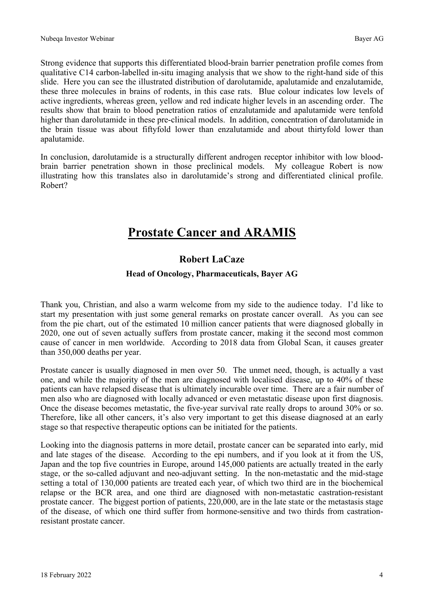Strong evidence that supports this differentiated blood-brain barrier penetration profile comes from qualitative C14 carbon-labelled in-situ imaging analysis that we show to the right-hand side of this slide. Here you can see the illustrated distribution of darolutamide, apalutamide and enzalutamide, these three molecules in brains of rodents, in this case rats. Blue colour indicates low levels of active ingredients, whereas green, yellow and red indicate higher levels in an ascending order. The results show that brain to blood penetration ratios of enzalutamide and apalutamide were tenfold higher than darolutamide in these pre-clinical models. In addition, concentration of darolutamide in the brain tissue was about fiftyfold lower than enzalutamide and about thirtyfold lower than apalutamide.

In conclusion, darolutamide is a structurally different androgen receptor inhibitor with low bloodbrain barrier penetration shown in those preclinical models. My colleague Robert is now illustrating how this translates also in darolutamide's strong and differentiated clinical profile. Robert?

## **Prostate Cancer and ARAMIS**

## **Robert LaCaze**

## **Head of Oncology, Pharmaceuticals, Bayer AG**

Thank you, Christian, and also a warm welcome from my side to the audience today. I'd like to start my presentation with just some general remarks on prostate cancer overall. As you can see from the pie chart, out of the estimated 10 million cancer patients that were diagnosed globally in 2020, one out of seven actually suffers from prostate cancer, making it the second most common cause of cancer in men worldwide. According to 2018 data from Global Scan, it causes greater than 350,000 deaths per year.

Prostate cancer is usually diagnosed in men over 50. The unmet need, though, is actually a vast one, and while the majority of the men are diagnosed with localised disease, up to 40% of these patients can have relapsed disease that is ultimately incurable over time. There are a fair number of men also who are diagnosed with locally advanced or even metastatic disease upon first diagnosis. Once the disease becomes metastatic, the five-year survival rate really drops to around 30% or so. Therefore, like all other cancers, it's also very important to get this disease diagnosed at an early stage so that respective therapeutic options can be initiated for the patients.

Looking into the diagnosis patterns in more detail, prostate cancer can be separated into early, mid and late stages of the disease. According to the epi numbers, and if you look at it from the US, Japan and the top five countries in Europe, around 145,000 patients are actually treated in the early stage, or the so-called adjuvant and neo-adjuvant setting. In the non-metastatic and the mid-stage setting a total of 130,000 patients are treated each year, of which two third are in the biochemical relapse or the BCR area, and one third are diagnosed with non-metastatic castration-resistant prostate cancer. The biggest portion of patients, 220,000, are in the late state or the metastasis stage of the disease, of which one third suffer from hormone-sensitive and two thirds from castrationresistant prostate cancer.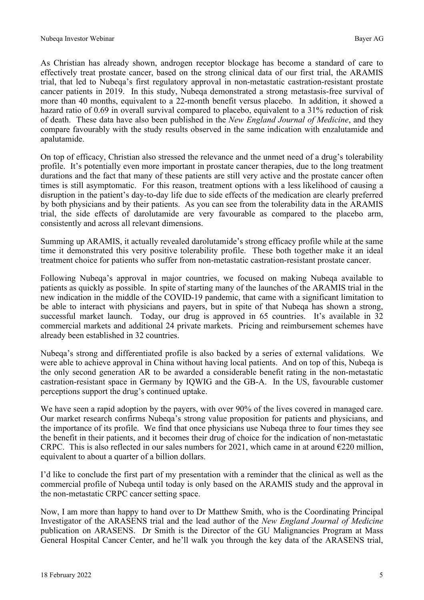As Christian has already shown, androgen receptor blockage has become a standard of care to effectively treat prostate cancer, based on the strong clinical data of our first trial, the ARAMIS trial, that led to Nubeqa's first regulatory approval in non-metastatic castration-resistant prostate cancer patients in 2019. In this study, Nubeqa demonstrated a strong metastasis-free survival of more than 40 months, equivalent to a 22-month benefit versus placebo. In addition, it showed a hazard ratio of 0.69 in overall survival compared to placebo, equivalent to a 31% reduction of risk of death. These data have also been published in the *New England Journal of Medicine*, and they compare favourably with the study results observed in the same indication with enzalutamide and apalutamide.

On top of efficacy, Christian also stressed the relevance and the unmet need of a drug's tolerability profile. It's potentially even more important in prostate cancer therapies, due to the long treatment durations and the fact that many of these patients are still very active and the prostate cancer often times is still asymptomatic. For this reason, treatment options with a less likelihood of causing a disruption in the patient's day-to-day life due to side effects of the medication are clearly preferred by both physicians and by their patients. As you can see from the tolerability data in the ARAMIS trial, the side effects of darolutamide are very favourable as compared to the placebo arm, consistently and across all relevant dimensions.

Summing up ARAMIS, it actually revealed darolutamide's strong efficacy profile while at the same time it demonstrated this very positive tolerability profile. These both together make it an ideal treatment choice for patients who suffer from non-metastatic castration-resistant prostate cancer.

Following Nubeqa's approval in major countries, we focused on making Nubeqa available to patients as quickly as possible. In spite of starting many of the launches of the ARAMIS trial in the new indication in the middle of the COVID-19 pandemic, that came with a significant limitation to be able to interact with physicians and payers, but in spite of that Nubeqa has shown a strong, successful market launch. Today, our drug is approved in 65 countries. It's available in 32 commercial markets and additional 24 private markets. Pricing and reimbursement schemes have already been established in 32 countries.

Nubeqa's strong and differentiated profile is also backed by a series of external validations. We were able to achieve approval in China without having local patients. And on top of this, Nubeqa is the only second generation AR to be awarded a considerable benefit rating in the non-metastatic castration-resistant space in Germany by IQWIG and the GB-A. In the US, favourable customer perceptions support the drug's continued uptake.

We have seen a rapid adoption by the payers, with over 90% of the lives covered in managed care. Our market research confirms Nubeqa's strong value proposition for patients and physicians, and the importance of its profile. We find that once physicians use Nubeqa three to four times they see the benefit in their patients, and it becomes their drug of choice for the indication of non-metastatic CRPC. This is also reflected in our sales numbers for 2021, which came in at around  $\epsilon$ 220 million, equivalent to about a quarter of a billion dollars.

I'd like to conclude the first part of my presentation with a reminder that the clinical as well as the commercial profile of Nubeqa until today is only based on the ARAMIS study and the approval in the non-metastatic CRPC cancer setting space.

Now, I am more than happy to hand over to Dr Matthew Smith, who is the Coordinating Principal Investigator of the ARASENS trial and the lead author of the *New England Journal of Medicine* publication on ARASENS. Dr Smith is the Director of the GU Malignancies Program at Mass General Hospital Cancer Center, and he'll walk you through the key data of the ARASENS trial,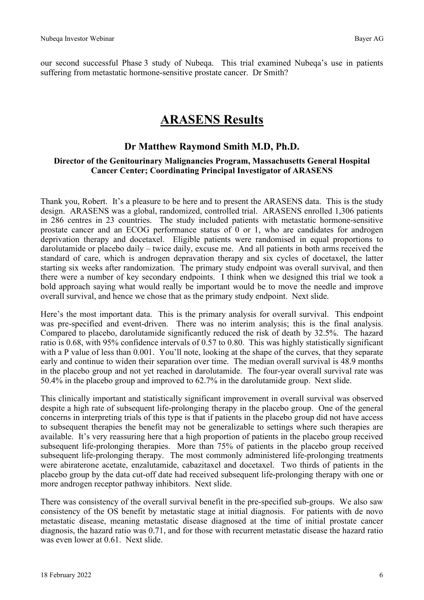our second successful Phase 3 study of Nubeqa. This trial examined Nubeqa's use in patients suffering from metastatic hormone-sensitive prostate cancer. Dr Smith?

## **ARASENS Results**

## **Dr Matthew Raymond Smith M.D, Ph.D.**

#### **Director of the Genitourinary Malignancies Program, Massachusetts General Hospital Cancer Center; Coordinating Principal Investigator of ARASENS**

Thank you, Robert. It's a pleasure to be here and to present the ARASENS data. This is the study design. ARASENS was a global, randomized, controlled trial. ARASENS enrolled 1,306 patients in 286 centres in 23 countries. The study included patients with metastatic hormone-sensitive prostate cancer and an ECOG performance status of 0 or 1, who are candidates for androgen deprivation therapy and docetaxel. Eligible patients were randomised in equal proportions to darolutamide or placebo daily – twice daily, excuse me. And all patients in both arms received the standard of care, which is androgen depravation therapy and six cycles of docetaxel, the latter starting six weeks after randomization. The primary study endpoint was overall survival, and then there were a number of key secondary endpoints. I think when we designed this trial we took a bold approach saying what would really be important would be to move the needle and improve overall survival, and hence we chose that as the primary study endpoint. Next slide.

Here's the most important data. This is the primary analysis for overall survival. This endpoint was pre-specified and event-driven. There was no interim analysis; this is the final analysis. Compared to placebo, darolutamide significantly reduced the risk of death by 32.5%. The hazard ratio is 0.68, with 95% confidence intervals of 0.57 to 0.80. This was highly statistically significant with a P value of less than 0.001. You'll note, looking at the shape of the curves, that they separate early and continue to widen their separation over time. The median overall survival is 48.9 months in the placebo group and not yet reached in darolutamide. The four-year overall survival rate was 50.4% in the placebo group and improved to 62.7% in the darolutamide group. Next slide.

This clinically important and statistically significant improvement in overall survival was observed despite a high rate of subsequent life-prolonging therapy in the placebo group. One of the general concerns in interpreting trials of this type is that if patients in the placebo group did not have access to subsequent therapies the benefit may not be generalizable to settings where such therapies are available. It's very reassuring here that a high proportion of patients in the placebo group received subsequent life-prolonging therapies. More than 75% of patients in the placebo group received subsequent life-prolonging therapy. The most commonly administered life-prolonging treatments were abiraterone acetate, enzalutamide, cabazitaxel and docetaxel. Two thirds of patients in the placebo group by the data cut-off date had received subsequent life-prolonging therapy with one or more androgen receptor pathway inhibitors. Next slide.

There was consistency of the overall survival benefit in the pre-specified sub-groups. We also saw consistency of the OS benefit by metastatic stage at initial diagnosis. For patients with de novo metastatic disease, meaning metastatic disease diagnosed at the time of initial prostate cancer diagnosis, the hazard ratio was 0.71, and for those with recurrent metastatic disease the hazard ratio was even lower at 0.61. Next slide.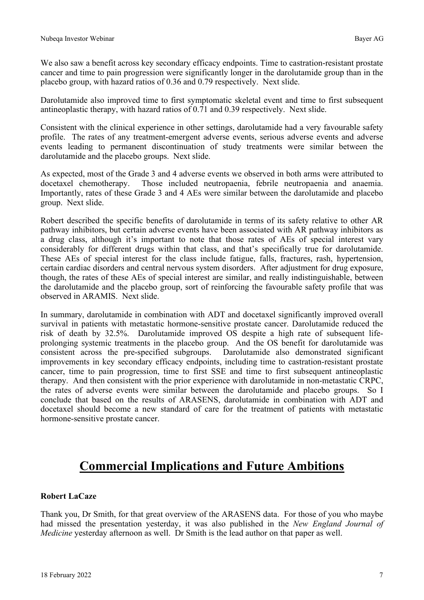We also saw a benefit across key secondary efficacy endpoints. Time to castration-resistant prostate cancer and time to pain progression were significantly longer in the darolutamide group than in the placebo group, with hazard ratios of 0.36 and 0.79 respectively. Next slide.

Darolutamide also improved time to first symptomatic skeletal event and time to first subsequent antineoplastic therapy, with hazard ratios of 0.71 and 0.39 respectively. Next slide.

Consistent with the clinical experience in other settings, darolutamide had a very favourable safety profile. The rates of any treatment-emergent adverse events, serious adverse events and adverse events leading to permanent discontinuation of study treatments were similar between the darolutamide and the placebo groups. Next slide.

As expected, most of the Grade 3 and 4 adverse events we observed in both arms were attributed to docetaxel chemotherapy. Those included neutropaenia, febrile neutropaenia and anaemia. Importantly, rates of these Grade 3 and 4 AEs were similar between the darolutamide and placebo group. Next slide.

Robert described the specific benefits of darolutamide in terms of its safety relative to other AR pathway inhibitors, but certain adverse events have been associated with AR pathway inhibitors as a drug class, although it's important to note that those rates of AEs of special interest vary considerably for different drugs within that class, and that's specifically true for darolutamide. These AEs of special interest for the class include fatigue, falls, fractures, rash, hypertension, certain cardiac disorders and central nervous system disorders. After adjustment for drug exposure, though, the rates of these AEs of special interest are similar, and really indistinguishable, between the darolutamide and the placebo group, sort of reinforcing the favourable safety profile that was observed in ARAMIS. Next slide.

In summary, darolutamide in combination with ADT and docetaxel significantly improved overall survival in patients with metastatic hormone-sensitive prostate cancer. Darolutamide reduced the risk of death by 32.5%. Darolutamide improved OS despite a high rate of subsequent lifeprolonging systemic treatments in the placebo group. And the OS benefit for darolutamide was consistent across the pre-specified subgroups. Darolutamide also demonstrated significant improvements in key secondary efficacy endpoints, including time to castration-resistant prostate cancer, time to pain progression, time to first SSE and time to first subsequent antineoplastic therapy. And then consistent with the prior experience with darolutamide in non-metastatic CRPC, the rates of adverse events were similar between the darolutamide and placebo groups. So I conclude that based on the results of ARASENS, darolutamide in combination with ADT and docetaxel should become a new standard of care for the treatment of patients with metastatic hormone-sensitive prostate cancer.

# **Commercial Implications and Future Ambitions**

## **Robert LaCaze**

Thank you, Dr Smith, for that great overview of the ARASENS data. For those of you who maybe had missed the presentation yesterday, it was also published in the *New England Journal of Medicine* yesterday afternoon as well. Dr Smith is the lead author on that paper as well.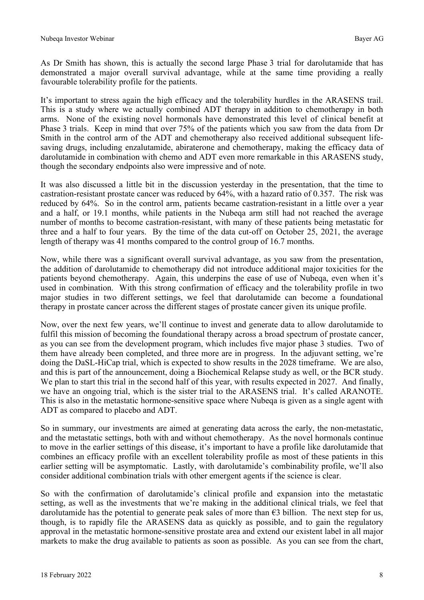As Dr Smith has shown, this is actually the second large Phase 3 trial for darolutamide that has demonstrated a major overall survival advantage, while at the same time providing a really favourable tolerability profile for the patients.

It's important to stress again the high efficacy and the tolerability hurdles in the ARASENS trail. This is a study where we actually combined ADT therapy in addition to chemotherapy in both arms. None of the existing novel hormonals have demonstrated this level of clinical benefit at Phase 3 trials. Keep in mind that over 75% of the patients which you saw from the data from Dr Smith in the control arm of the ADT and chemotherapy also received additional subsequent lifesaving drugs, including enzalutamide, abiraterone and chemotherapy, making the efficacy data of darolutamide in combination with chemo and ADT even more remarkable in this ARASENS study, though the secondary endpoints also were impressive and of note.

It was also discussed a little bit in the discussion yesterday in the presentation, that the time to castration-resistant prostate cancer was reduced by 64%, with a hazard ratio of 0.357. The risk was reduced by 64%. So in the control arm, patients became castration-resistant in a little over a year and a half, or 19.1 months, while patients in the Nubeqa arm still had not reached the average number of months to become castration-resistant, with many of these patients being metastatic for three and a half to four years. By the time of the data cut-off on October 25, 2021, the average length of therapy was 41 months compared to the control group of 16.7 months.

Now, while there was a significant overall survival advantage, as you saw from the presentation, the addition of darolutamide to chemotherapy did not introduce additional major toxicities for the patients beyond chemotherapy. Again, this underpins the ease of use of Nubeqa, even when it's used in combination. With this strong confirmation of efficacy and the tolerability profile in two major studies in two different settings, we feel that darolutamide can become a foundational therapy in prostate cancer across the different stages of prostate cancer given its unique profile.

Now, over the next few years, we'll continue to invest and generate data to allow darolutamide to fulfil this mission of becoming the foundational therapy across a broad spectrum of prostate cancer, as you can see from the development program, which includes five major phase 3 studies. Two of them have already been completed, and three more are in progress. In the adjuvant setting, we're doing the DaSL-HiCap trial, which is expected to show results in the 2028 timeframe. We are also, and this is part of the announcement, doing a Biochemical Relapse study as well, or the BCR study. We plan to start this trial in the second half of this year, with results expected in 2027. And finally, we have an ongoing trial, which is the sister trial to the ARASENS trial. It's called ARANOTE. This is also in the metastatic hormone-sensitive space where Nubeqa is given as a single agent with ADT as compared to placebo and ADT.

So in summary, our investments are aimed at generating data across the early, the non-metastatic, and the metastatic settings, both with and without chemotherapy. As the novel hormonals continue to move in the earlier settings of this disease, it's important to have a profile like darolutamide that combines an efficacy profile with an excellent tolerability profile as most of these patients in this earlier setting will be asymptomatic. Lastly, with darolutamide's combinability profile, we'll also consider additional combination trials with other emergent agents if the science is clear.

So with the confirmation of darolutamide's clinical profile and expansion into the metastatic setting, as well as the investments that we're making in the additional clinical trials, we feel that darolutamide has the potential to generate peak sales of more than  $\epsilon$ 3 billion. The next step for us, though, is to rapidly file the ARASENS data as quickly as possible, and to gain the regulatory approval in the metastatic hormone-sensitive prostate area and extend our existent label in all major markets to make the drug available to patients as soon as possible. As you can see from the chart,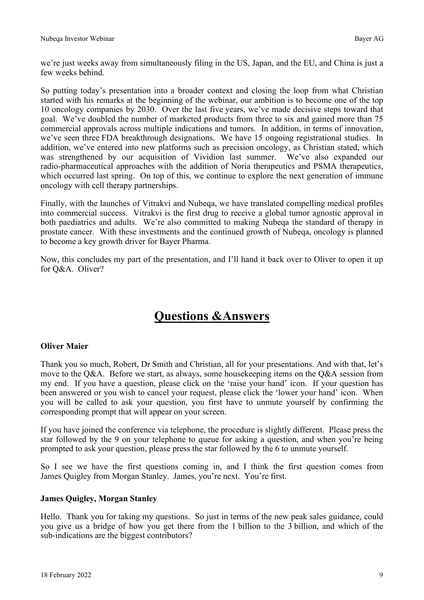we're just weeks away from simultaneously filing in the US, Japan, and the EU, and China is just a few weeks behind.

So putting today's presentation into a broader context and closing the loop from what Christian started with his remarks at the beginning of the webinar, our ambition is to become one of the top 10 oncology companies by 2030. Over the last five years, we've made decisive steps toward that goal. We've doubled the number of marketed products from three to six and gained more than 75 commercial approvals across multiple indications and tumors. In addition, in terms of innovation, we've seen three FDA breakthrough designations. We have 15 ongoing registrational studies. In addition, we've entered into new platforms such as precision oncology, as Christian stated, which was strengthened by our acquisition of Vividion last summer. We've also expanded our radio-pharmaceutical approaches with the addition of Noria therapeutics and PSMA therapeutics, which occurred last spring. On top of this, we continue to explore the next generation of immune oncology with cell therapy partnerships.

Finally, with the launches of Vitrakvi and Nubeqa, we have translated compelling medical profiles into commercial success. Vitrakvi is the first drug to receive a global tumor agnostic approval in both paediatrics and adults. We're also committed to making Nubeqa the standard of therapy in prostate cancer. With these investments and the continued growth of Nubeqa, oncology is planned to become a key growth driver for Bayer Pharma.

Now, this concludes my part of the presentation, and I'll hand it back over to Oliver to open it up for Q&A. Oliver?

# **Questions &Answers**

## **Oliver Maier**

Thank you so much, Robert, Dr Smith and Christian, all for your presentations. And with that, let's move to the Q&A. Before we start, as always, some housekeeping items on the Q&A session from my end. If you have a question, please click on the 'raise your hand' icon. If your question has been answered or you wish to cancel your request, please click the 'lower your hand' icon. When you will be called to ask your question, you first have to unmute yourself by confirming the corresponding prompt that will appear on your screen.

If you have joined the conference via telephone, the procedure is slightly different. Please press the star followed by the 9 on your telephone to queue for asking a question, and when you're being prompted to ask your question, please press the star followed by the 6 to unmute yourself.

So I see we have the first questions coming in, and I think the first question comes from James Quigley from Morgan Stanley. James, you're next. You're first.

## **James Quigley, Morgan Stanley**

Hello. Thank you for taking my questions. So just in terms of the new peak sales guidance, could you give us a bridge of how you get there from the 1 billion to the 3 billion, and which of the sub-indications are the biggest contributors?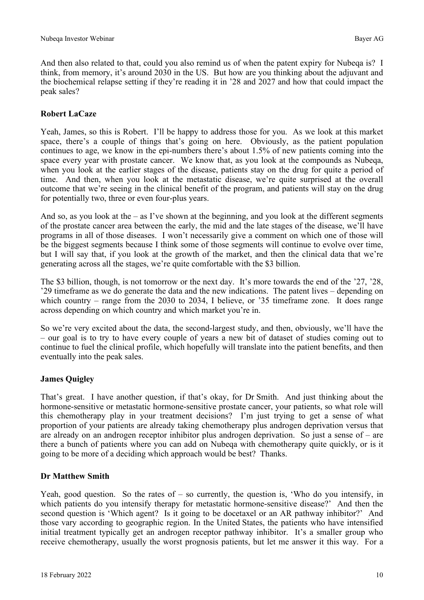And then also related to that, could you also remind us of when the patent expiry for Nubeqa is? I think, from memory, it's around 2030 in the US. But how are you thinking about the adjuvant and the biochemical relapse setting if they're reading it in '28 and 2027 and how that could impact the peak sales?

## **Robert LaCaze**

Yeah, James, so this is Robert. I'll be happy to address those for you. As we look at this market space, there's a couple of things that's going on here. Obviously, as the patient population continues to age, we know in the epi-numbers there's about 1.5% of new patients coming into the space every year with prostate cancer. We know that, as you look at the compounds as Nubeqa, when you look at the earlier stages of the disease, patients stay on the drug for quite a period of time. And then, when you look at the metastatic disease, we're quite surprised at the overall outcome that we're seeing in the clinical benefit of the program, and patients will stay on the drug for potentially two, three or even four-plus years.

And so, as you look at the  $-$  as I've shown at the beginning, and you look at the different segments of the prostate cancer area between the early, the mid and the late stages of the disease, we'll have programs in all of those diseases. I won't necessarily give a comment on which one of those will be the biggest segments because I think some of those segments will continue to evolve over time, but I will say that, if you look at the growth of the market, and then the clinical data that we're generating across all the stages, we're quite comfortable with the \$3 billion.

The \$3 billion, though, is not tomorrow or the next day. It's more towards the end of the '27, '28, '29 timeframe as we do generate the data and the new indications. The patent lives – depending on which country – range from the 2030 to 2034, I believe, or '35 timeframe zone. It does range across depending on which country and which market you're in.

So we're very excited about the data, the second-largest study, and then, obviously, we'll have the – our goal is to try to have every couple of years a new bit of dataset of studies coming out to continue to fuel the clinical profile, which hopefully will translate into the patient benefits, and then eventually into the peak sales.

## **James Quigley**

That's great. I have another question, if that's okay, for Dr Smith. And just thinking about the hormone-sensitive or metastatic hormone-sensitive prostate cancer, your patients, so what role will this chemotherapy play in your treatment decisions? I'm just trying to get a sense of what proportion of your patients are already taking chemotherapy plus androgen deprivation versus that are already on an androgen receptor inhibitor plus androgen deprivation. So just a sense of – are there a bunch of patients where you can add on Nubeqa with chemotherapy quite quickly, or is it going to be more of a deciding which approach would be best? Thanks.

## **Dr Matthew Smith**

Yeah, good question. So the rates of – so currently, the question is, 'Who do you intensify, in which patients do you intensify therapy for metastatic hormone-sensitive disease?' And then the second question is 'Which agent? Is it going to be docetaxel or an AR pathway inhibitor?' And those vary according to geographic region. In the United States, the patients who have intensified initial treatment typically get an androgen receptor pathway inhibitor. It's a smaller group who receive chemotherapy, usually the worst prognosis patients, but let me answer it this way. For a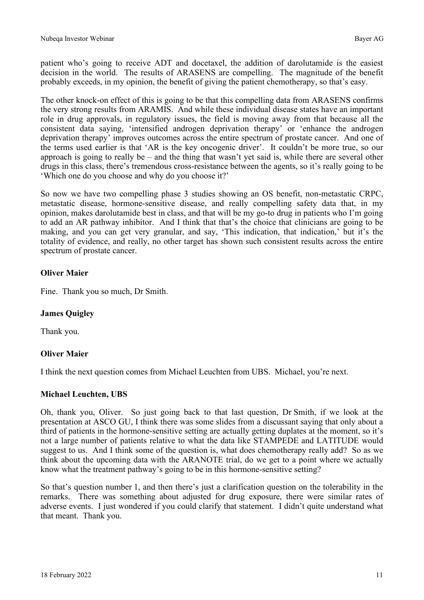patient who's going to receive ADT and docetaxel, the addition of darolutamide is the easiest decision in the world. The results of ARASENS are compelling. The magnitude of the benefit probably exceeds, in my opinion, the benefit of giving the patient chemotherapy, so that's easy.

The other knock-on effect of this is going to be that this compelling data from ARASENS confirms the very strong results from ARAMIS. And while these individual disease states have an important role in drug approvals, in regulatory issues, the field is moving away from that because all the consistent data saying, 'intensified androgen deprivation therapy' or 'enhance the androgen deprivation therapy' improves outcomes across the entire spectrum of prostate cancer. And one of the terms used earlier is that 'AR is the key oncogenic driver'. It couldn't be more true, so our approach is going to really be – and the thing that wasn't yet said is, while there are several other drugs in this class, there's tremendous cross-resistance between the agents, so it's really going to be 'Which one do you choose and why do you choose it?'

So now we have two compelling phase 3 studies showing an OS benefit, non-metastatic CRPC, metastatic disease, hormone-sensitive disease, and really compelling safety data that, in my opinion, makes darolutamide best in class, and that will be my go-to drug in patients who I'm going to add an AR pathway inhibitor. And I think that that's the choice that clinicians are going to be making, and you can get very granular, and say, 'This indication, that indication,' but it's the totality of evidence, and really, no other target has shown such consistent results across the entire spectrum of prostate cancer.

## **Oliver Maier**

Fine. Thank you so much, Dr Smith.

## **James Quigley**

Thank you.

## **Oliver Maier**

I think the next question comes from Michael Leuchten from UBS. Michael, you're next.

## **Michael Leuchten, UBS**

Oh, thank you, Oliver. So just going back to that last question, Dr Smith, if we look at the presentation at ASCO GU, I think there was some slides from a discussant saying that only about a third of patients in the hormone-sensitive setting are actually getting duplates at the moment, so it's not a large number of patients relative to what the data like STAMPEDE and LATITUDE would suggest to us. And I think some of the question is, what does chemotherapy really add? So as we think about the upcoming data with the ARANOTE trial, do we get to a point where we actually know what the treatment pathway's going to be in this hormone-sensitive setting?

So that's question number 1, and then there's just a clarification question on the tolerability in the remarks. There was something about adjusted for drug exposure, there were similar rates of adverse events. I just wondered if you could clarify that statement. I didn't quite understand what that meant. Thank you.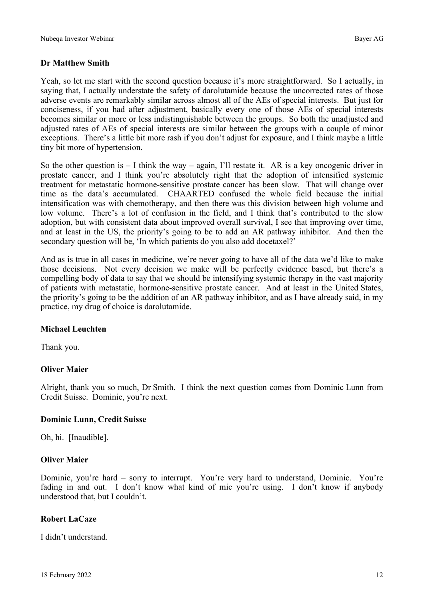## **Dr Matthew Smith**

Yeah, so let me start with the second question because it's more straightforward. So I actually, in saying that, I actually understate the safety of darolutamide because the uncorrected rates of those adverse events are remarkably similar across almost all of the AEs of special interests. But just for conciseness, if you had after adjustment, basically every one of those AEs of special interests becomes similar or more or less indistinguishable between the groups. So both the unadjusted and adjusted rates of AEs of special interests are similar between the groups with a couple of minor exceptions. There's a little bit more rash if you don't adjust for exposure, and I think maybe a little tiny bit more of hypertension.

So the other question is  $-1$  think the way – again, I'll restate it. AR is a key oncogenic driver in prostate cancer, and I think you're absolutely right that the adoption of intensified systemic treatment for metastatic hormone-sensitive prostate cancer has been slow. That will change over time as the data's accumulated. CHAARTED confused the whole field because the initial intensification was with chemotherapy, and then there was this division between high volume and low volume. There's a lot of confusion in the field, and I think that's contributed to the slow adoption, but with consistent data about improved overall survival, I see that improving over time, and at least in the US, the priority's going to be to add an AR pathway inhibitor. And then the secondary question will be, 'In which patients do you also add docetaxel?'

And as is true in all cases in medicine, we're never going to have all of the data we'd like to make those decisions. Not every decision we make will be perfectly evidence based, but there's a compelling body of data to say that we should be intensifying systemic therapy in the vast majority of patients with metastatic, hormone-sensitive prostate cancer. And at least in the United States, the priority's going to be the addition of an AR pathway inhibitor, and as I have already said, in my practice, my drug of choice is darolutamide.

#### **Michael Leuchten**

Thank you.

## **Oliver Maier**

Alright, thank you so much, Dr Smith. I think the next question comes from Dominic Lunn from Credit Suisse. Dominic, you're next.

#### **Dominic Lunn, Credit Suisse**

Oh, hi. [Inaudible].

#### **Oliver Maier**

Dominic, you're hard – sorry to interrupt. You're very hard to understand, Dominic. You're fading in and out. I don't know what kind of mic you're using. I don't know if anybody understood that, but I couldn't.

#### **Robert LaCaze**

I didn't understand.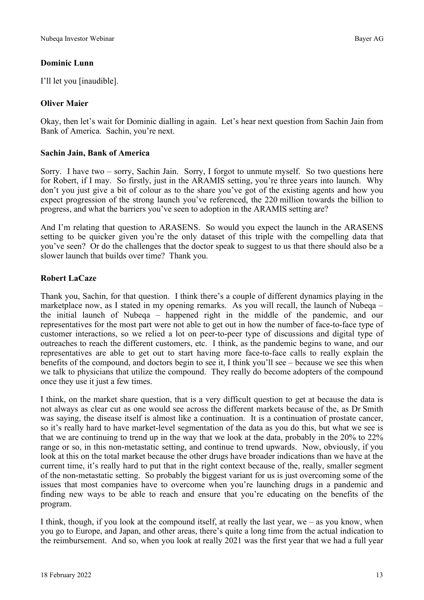## **Dominic Lunn**

I'll let you [inaudible].

## **Oliver Maier**

Okay, then let's wait for Dominic dialling in again. Let's hear next question from Sachin Jain from Bank of America. Sachin, you're next.

## **Sachin Jain, Bank of America**

Sorry. I have two – sorry, Sachin Jain. Sorry, I forgot to unmute myself. So two questions here for Robert, if I may. So firstly, just in the ARAMIS setting, you're three years into launch. Why don't you just give a bit of colour as to the share you've got of the existing agents and how you expect progression of the strong launch you've referenced, the 220 million towards the billion to progress, and what the barriers you've seen to adoption in the ARAMIS setting are?

And I'm relating that question to ARASENS. So would you expect the launch in the ARASENS setting to be quicker given you're the only dataset of this triple with the compelling data that you've seen? Or do the challenges that the doctor speak to suggest to us that there should also be a slower launch that builds over time? Thank you.

## **Robert LaCaze**

Thank you, Sachin, for that question. I think there's a couple of different dynamics playing in the marketplace now, as I stated in my opening remarks. As you will recall, the launch of Nubeqa – the initial launch of Nubeqa – happened right in the middle of the pandemic, and our representatives for the most part were not able to get out in how the number of face-to-face type of customer interactions, so we relied a lot on peer-to-peer type of discussions and digital type of outreaches to reach the different customers, etc. I think, as the pandemic begins to wane, and our representatives are able to get out to start having more face-to-face calls to really explain the benefits of the compound, and doctors begin to see it, I think you'll see – because we see this when we talk to physicians that utilize the compound. They really do become adopters of the compound once they use it just a few times.

I think, on the market share question, that is a very difficult question to get at because the data is not always as clear cut as one would see across the different markets because of the, as Dr Smith was saying, the disease itself is almost like a continuation. It is a continuation of prostate cancer, so it's really hard to have market-level segmentation of the data as you do this, but what we see is that we are continuing to trend up in the way that we look at the data, probably in the 20% to 22% range or so, in this non-metastatic setting, and continue to trend upwards. Now, obviously, if you look at this on the total market because the other drugs have broader indications than we have at the current time, it's really hard to put that in the right context because of the, really, smaller segment of the non-metastatic setting. So probably the biggest variant for us is just overcoming some of the issues that most companies have to overcome when you're launching drugs in a pandemic and finding new ways to be able to reach and ensure that you're educating on the benefits of the program.

I think, though, if you look at the compound itself, at really the last year, we – as you know, when you go to Europe, and Japan, and other areas, there's quite a long time from the actual indication to the reimbursement. And so, when you look at really 2021 was the first year that we had a full year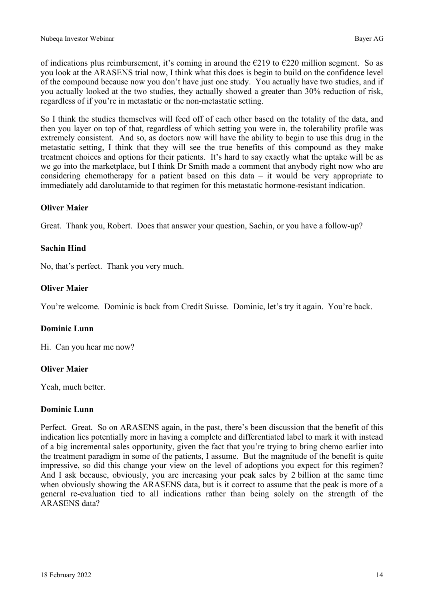of indications plus reimbursement, it's coming in around the  $\epsilon$ 219 to  $\epsilon$ 220 million segment. So as you look at the ARASENS trial now, I think what this does is begin to build on the confidence level of the compound because now you don't have just one study. You actually have two studies, and if you actually looked at the two studies, they actually showed a greater than 30% reduction of risk, regardless of if you're in metastatic or the non-metastatic setting.

So I think the studies themselves will feed off of each other based on the totality of the data, and then you layer on top of that, regardless of which setting you were in, the tolerability profile was extremely consistent. And so, as doctors now will have the ability to begin to use this drug in the metastatic setting, I think that they will see the true benefits of this compound as they make treatment choices and options for their patients. It's hard to say exactly what the uptake will be as we go into the marketplace, but I think Dr Smith made a comment that anybody right now who are considering chemotherapy for a patient based on this data – it would be very appropriate to immediately add darolutamide to that regimen for this metastatic hormone-resistant indication.

## **Oliver Maier**

Great. Thank you, Robert. Does that answer your question, Sachin, or you have a follow-up?

## **Sachin Hind**

No, that's perfect. Thank you very much.

## **Oliver Maier**

You're welcome. Dominic is back from Credit Suisse. Dominic, let's try it again. You're back.

## **Dominic Lunn**

Hi. Can you hear me now?

## **Oliver Maier**

Yeah, much better.

## **Dominic Lunn**

Perfect. Great. So on ARASENS again, in the past, there's been discussion that the benefit of this indication lies potentially more in having a complete and differentiated label to mark it with instead of a big incremental sales opportunity, given the fact that you're trying to bring chemo earlier into the treatment paradigm in some of the patients, I assume. But the magnitude of the benefit is quite impressive, so did this change your view on the level of adoptions you expect for this regimen? And I ask because, obviously, you are increasing your peak sales by 2 billion at the same time when obviously showing the ARASENS data, but is it correct to assume that the peak is more of a general re-evaluation tied to all indications rather than being solely on the strength of the ARASENS data?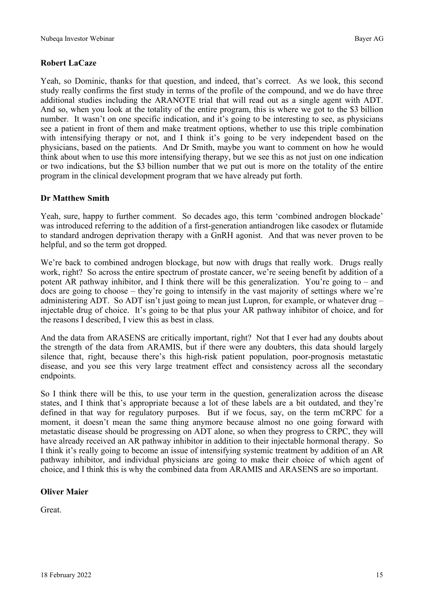## **Robert LaCaze**

Yeah, so Dominic, thanks for that question, and indeed, that's correct. As we look, this second study really confirms the first study in terms of the profile of the compound, and we do have three additional studies including the ARANOTE trial that will read out as a single agent with ADT. And so, when you look at the totality of the entire program, this is where we got to the \$3 billion number. It wasn't on one specific indication, and it's going to be interesting to see, as physicians see a patient in front of them and make treatment options, whether to use this triple combination with intensifying therapy or not, and I think it's going to be very independent based on the physicians, based on the patients. And Dr Smith, maybe you want to comment on how he would think about when to use this more intensifying therapy, but we see this as not just on one indication or two indications, but the \$3 billion number that we put out is more on the totality of the entire program in the clinical development program that we have already put forth.

## **Dr Matthew Smith**

Yeah, sure, happy to further comment. So decades ago, this term 'combined androgen blockade' was introduced referring to the addition of a first-generation antiandrogen like casodex or flutamide to standard androgen deprivation therapy with a GnRH agonist. And that was never proven to be helpful, and so the term got dropped.

We're back to combined androgen blockage, but now with drugs that really work. Drugs really work, right? So across the entire spectrum of prostate cancer, we're seeing benefit by addition of a potent AR pathway inhibitor, and I think there will be this generalization. You're going to – and docs are going to choose – they're going to intensify in the vast majority of settings where we're administering ADT. So ADT isn't just going to mean just Lupron, for example, or whatever drug – injectable drug of choice. It's going to be that plus your AR pathway inhibitor of choice, and for the reasons I described, I view this as best in class.

And the data from ARASENS are critically important, right? Not that I ever had any doubts about the strength of the data from ARAMIS, but if there were any doubters, this data should largely silence that, right, because there's this high-risk patient population, poor-prognosis metastatic disease, and you see this very large treatment effect and consistency across all the secondary endpoints.

So I think there will be this, to use your term in the question, generalization across the disease states, and I think that's appropriate because a lot of these labels are a bit outdated, and they're defined in that way for regulatory purposes. But if we focus, say, on the term mCRPC for a moment, it doesn't mean the same thing anymore because almost no one going forward with metastatic disease should be progressing on ADT alone, so when they progress to CRPC, they will have already received an AR pathway inhibitor in addition to their injectable hormonal therapy. So I think it's really going to become an issue of intensifying systemic treatment by addition of an AR pathway inhibitor, and individual physicians are going to make their choice of which agent of choice, and I think this is why the combined data from ARAMIS and ARASENS are so important.

#### **Oliver Maier**

Great.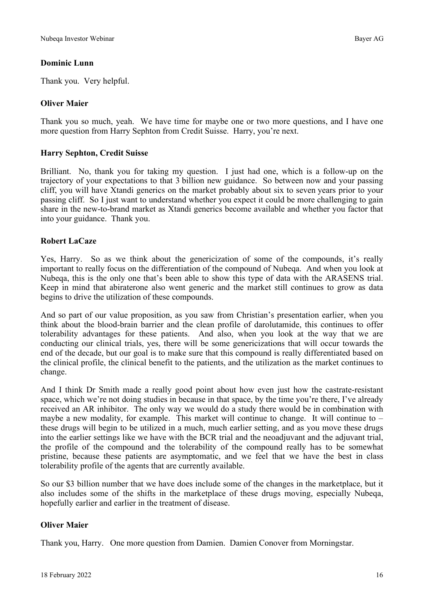## **Dominic Lunn**

Thank you. Very helpful.

## **Oliver Maier**

Thank you so much, yeah. We have time for maybe one or two more questions, and I have one more question from Harry Sephton from Credit Suisse. Harry, you're next.

## **Harry Sephton, Credit Suisse**

Brilliant. No, thank you for taking my question. I just had one, which is a follow-up on the trajectory of your expectations to that 3 billion new guidance. So between now and your passing cliff, you will have Xtandi generics on the market probably about six to seven years prior to your passing cliff. So I just want to understand whether you expect it could be more challenging to gain share in the new-to-brand market as Xtandi generics become available and whether you factor that into your guidance. Thank you.

## **Robert LaCaze**

Yes, Harry. So as we think about the genericization of some of the compounds, it's really important to really focus on the differentiation of the compound of Nubeqa. And when you look at Nubeqa, this is the only one that's been able to show this type of data with the ARASENS trial. Keep in mind that abiraterone also went generic and the market still continues to grow as data begins to drive the utilization of these compounds.

And so part of our value proposition, as you saw from Christian's presentation earlier, when you think about the blood-brain barrier and the clean profile of darolutamide, this continues to offer tolerability advantages for these patients. And also, when you look at the way that we are conducting our clinical trials, yes, there will be some genericizations that will occur towards the end of the decade, but our goal is to make sure that this compound is really differentiated based on the clinical profile, the clinical benefit to the patients, and the utilization as the market continues to change.

And I think Dr Smith made a really good point about how even just how the castrate-resistant space, which we're not doing studies in because in that space, by the time you're there, I've already received an AR inhibitor. The only way we would do a study there would be in combination with maybe a new modality, for example. This market will continue to change. It will continue to  $$ these drugs will begin to be utilized in a much, much earlier setting, and as you move these drugs into the earlier settings like we have with the BCR trial and the neoadjuvant and the adjuvant trial, the profile of the compound and the tolerability of the compound really has to be somewhat pristine, because these patients are asymptomatic, and we feel that we have the best in class tolerability profile of the agents that are currently available.

So our \$3 billion number that we have does include some of the changes in the marketplace, but it also includes some of the shifts in the marketplace of these drugs moving, especially Nubeqa, hopefully earlier and earlier in the treatment of disease.

## **Oliver Maier**

Thank you, Harry. One more question from Damien. Damien Conover from Morningstar.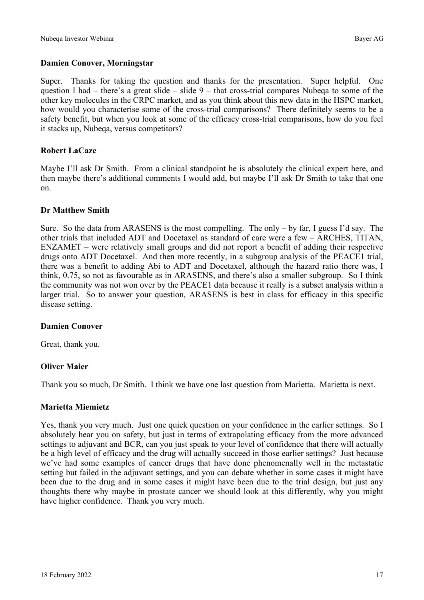## **Damien Conover, Morningstar**

Super. Thanks for taking the question and thanks for the presentation. Super helpful. One question I had  $-$  there's a great slide  $-$  slide  $9$   $-$  that cross-trial compares Nubeqa to some of the other key molecules in the CRPC market, and as you think about this new data in the HSPC market, how would you characterise some of the cross-trial comparisons? There definitely seems to be a safety benefit, but when you look at some of the efficacy cross-trial comparisons, how do you feel it stacks up, Nubeqa, versus competitors?

## **Robert LaCaze**

Maybe I'll ask Dr Smith. From a clinical standpoint he is absolutely the clinical expert here, and then maybe there's additional comments I would add, but maybe I'll ask Dr Smith to take that one on.

## **Dr Matthew Smith**

Sure. So the data from ARASENS is the most compelling. The only  $-$  by far, I guess I'd say. The other trials that included ADT and Docetaxel as standard of care were a few ‒ ARCHES, TITAN,  $ENZAMET$  – were relatively small groups and did not report a benefit of adding their respective drugs onto ADT Docetaxel. And then more recently, in a subgroup analysis of the PEACE1 trial, there was a benefit to adding Abi to ADT and Docetaxel, although the hazard ratio there was, I think, 0.75, so not as favourable as in ARASENS, and there's also a smaller subgroup. So I think the community was not won over by the PEACE1 data because it really is a subset analysis within a larger trial. So to answer your question, ARASENS is best in class for efficacy in this specific disease setting.

## **Damien Conover**

Great, thank you.

## **Oliver Maier**

Thank you so much, Dr Smith. I think we have one last question from Marietta. Marietta is next.

## **Marietta Miemietz**

Yes, thank you very much. Just one quick question on your confidence in the earlier settings. So I absolutely hear you on safety, but just in terms of extrapolating efficacy from the more advanced settings to adjuvant and BCR, can you just speak to your level of confidence that there will actually be a high level of efficacy and the drug will actually succeed in those earlier settings? Just because we've had some examples of cancer drugs that have done phenomenally well in the metastatic setting but failed in the adjuvant settings, and you can debate whether in some cases it might have been due to the drug and in some cases it might have been due to the trial design, but just any thoughts there why maybe in prostate cancer we should look at this differently, why you might have higher confidence. Thank you very much.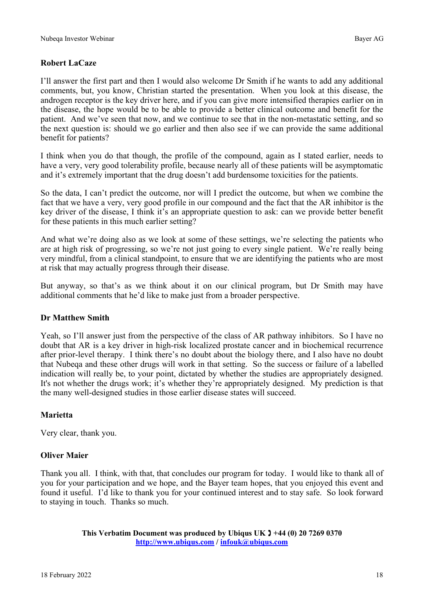## **Robert LaCaze**

I'll answer the first part and then I would also welcome Dr Smith if he wants to add any additional comments, but, you know, Christian started the presentation. When you look at this disease, the androgen receptor is the key driver here, and if you can give more intensified therapies earlier on in the disease, the hope would be to be able to provide a better clinical outcome and benefit for the patient. And we've seen that now, and we continue to see that in the non-metastatic setting, and so the next question is: should we go earlier and then also see if we can provide the same additional benefit for patients?

I think when you do that though, the profile of the compound, again as I stated earlier, needs to have a very, very good tolerability profile, because nearly all of these patients will be asymptomatic and it's extremely important that the drug doesn't add burdensome toxicities for the patients.

So the data, I can't predict the outcome, nor will I predict the outcome, but when we combine the fact that we have a very, very good profile in our compound and the fact that the AR inhibitor is the key driver of the disease, I think it's an appropriate question to ask: can we provide better benefit for these patients in this much earlier setting?

And what we're doing also as we look at some of these settings, we're selecting the patients who are at high risk of progressing, so we're not just going to every single patient. We're really being very mindful, from a clinical standpoint, to ensure that we are identifying the patients who are most at risk that may actually progress through their disease.

But anyway, so that's as we think about it on our clinical program, but Dr Smith may have additional comments that he'd like to make just from a broader perspective.

#### **Dr Matthew Smith**

Yeah, so I'll answer just from the perspective of the class of AR pathway inhibitors. So I have no doubt that AR is a key driver in high-risk localized prostate cancer and in biochemical recurrence after prior-level therapy. I think there's no doubt about the biology there, and I also have no doubt that Nubeqa and these other drugs will work in that setting. So the success or failure of a labelled indication will really be, to your point, dictated by whether the studies are appropriately designed. It's not whether the drugs work; it's whether they're appropriately designed. My prediction is that the many well-designed studies in those earlier disease states will succeed.

## **Marietta**

Very clear, thank you.

## **Oliver Maier**

Thank you all. I think, with that, that concludes our program for today. I would like to thank all of you for your participation and we hope, and the Bayer team hopes, that you enjoyed this event and found it useful. I'd like to thank you for your continued interest and to stay safe. So look forward to staying in touch. Thanks so much.

> **This Verbatim Document was produced by Ubiqus UK**  $\textbf{1} + 44$  **(0) 20 7269 0370 [http://www.ubiqus.com](http://www.ubiqus.com/en-gb) / [infouk@ubiqus.com](mailto:infouk@ubiqus.com)**